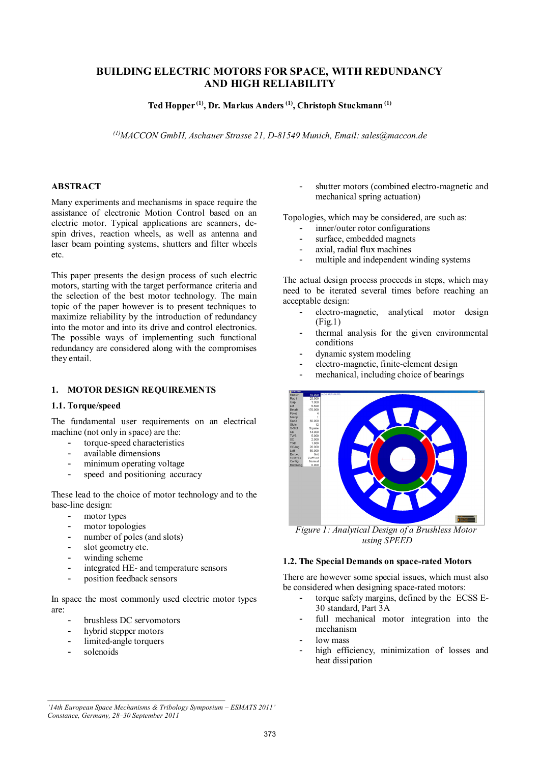# **BUILDING ELECTRIC MOTORS FOR SPACE, WITH REDUNDANCY AND HIGH RELIABILITY**

**Ted Hopper (1), Dr. Markus Anders(1), Christoph Stuckmann (1)**

<sup>(1)</sup>*MACCON GmbH, Aschauer Strasse 21, D-81549 Munich, Email: sales@maccon.de* 

### **ABSTRACT**

Many experiments and mechanisms in space require the assistance of electronic Motion Control based on an electric motor. Typical applications are scanners, despin drives, reaction wheels, as well as antenna and laser beam pointing systems, shutters and filter wheels etc.

This paper presents the design process of such electric motors, starting with the target performance criteria and the selection of the best motor technology. The main topic of the paper however is to present techniques to maximize reliability by the introduction of redundancy into the motor and into its drive and control electronics. The possible ways of implementing such functional redundancy are considered along with the compromises they entail.

### **1. MOTOR DESIGN REQUIREMENTS**

#### **1.1. Torque/speed**

The fundamental user requirements on an electrical machine (not only in space) are the:

- torque-speed characteristics
- available dimensions
- minimum operating voltage
- speed and positioning accuracy

These lead to the choice of motor technology and to the base-line design:

- motor types
- motor topologies
- number of poles (and slots)
- slot geometry etc.
- winding scheme
- integrated HE- and temperature sensors
- position feedback sensors

In space the most commonly used electric motor types are:

- brushless DC servomotors
- hybrid stepper motors
- limited-angle torquers
- solenoids

shutter motors (combined electro-magnetic and mechanical spring actuation)

Topologies, which may be considered, are such as:

- inner/outer rotor configurations
- surface, embedded magnets
- axial, radial flux machines
- multiple and independent winding systems

The actual design process proceeds in steps, which may need to be iterated several times before reaching an acceptable design:

- electro-magnetic, analytical motor design (Fig.1)
- thermal analysis for the given environmental conditions
- dynamic system modeling
- electro-magnetic, finite-element design
- mechanical, including choice of bearings



*using SPEED*

### **1.2. The Special Demands on space-rated Motors**

There are however some special issues, which must also be considered when designing space-rated motors:

- torque safety margins, defined by the ECSS E-30 standard, Part 3A
- full mechanical motor integration into the mechanism
- low mass
- high efficiency, minimization of losses and heat dissipation

*\_\_\_\_\_\_\_\_\_\_\_\_\_\_\_\_\_\_\_\_\_\_\_\_\_\_\_\_\_\_\_\_\_\_\_\_\_\_\_\_\_\_\_\_\_\_\_\_\_*

*<sup>&#</sup>x27;14th European Space Mechanisms & Tribology Symposium – ESMATS 2011' Constance, Germany, 28–30 September 2011*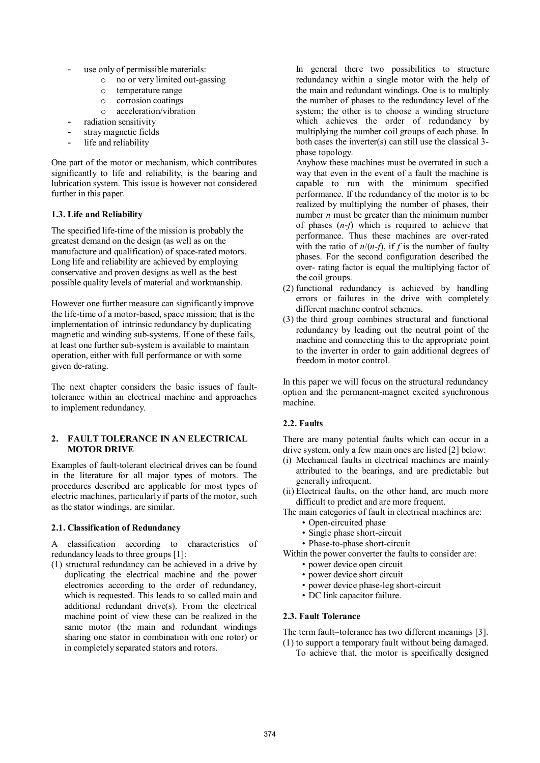- use only of permissible materials:
	- o no or very limited out-gassing
	- o temperature range
		- o corrosion coatings
		- o acceleration/vibration
	- radiation sensitivity
- stray magnetic fields
- life and reliability

One part of the motor or mechanism, which contributes significantly to life and reliability, is the bearing and lubrication system. This issue is however not considered further in this paper.

# **1.3. Life and Reliability**

The specified life-time of the mission is probably the greatest demand on the design (as well as on the manufacture and qualification) of space-rated motors. Long life and reliability are achieved by employing conservative and proven designs as well as the best possible quality levels of material and workmanship.

However one further measure can significantly improve the life-time of a motor-based, space mission; that is the implementation of intrinsic redundancy by duplicating magnetic and winding sub-systems. If one of these fails, at least one further sub-system is available to maintain operation, either with full performance or with some given de-rating.

The next chapter considers the basic issues of faulttolerance within an electrical machine and approaches to implement redundancy.

### **2. FAULT TOLERANCE IN AN ELECTRICAL MOTOR DRIVE**

Examples of fault-tolerant electrical drives can be found in the literature for all major types of motors. The procedures described are applicable for most types of electric machines, particularly if parts of the motor, such as the stator windings, are similar.

### **2.1. Classification of Redundancy**

A classification according to characteristics of redundancy leads to three groups [1]:

(1) structural redundancy can be achieved in a drive by duplicating the electrical machine and the power electronics according to the order of redundancy, which is requested. This leads to so called main and additional redundant drive(s). From the electrical machine point of view these can be realized in the same motor (the main and redundant windings sharing one stator in combination with one rotor) or in completely separated stators and rotors.

 In general there two possibilities to structure redundancy within a single motor with the help of the main and redundant windings. One is to multiply the number of phases to the redundancy level of the system; the other is to choose a winding structure which achieves the order of redundancy by multiplying the number coil groups of each phase. In both cases the inverter(s) can still use the classical 3 phase topology.

 Anyhow these machines must be overrated in such a way that even in the event of a fault the machine is capable to run with the minimum specified performance. If the redundancy of the motor is to be realized by multiplying the number of phases, their number *n* must be greater than the minimum number of phases (*n*-*f*) which is required to achieve that performance. Thus these machines are over-rated with the ratio of  $n/(n-f)$ , if *f* is the number of faulty phases. For the second configuration described the over- rating factor is equal the multiplying factor of the coil groups.

- (2) functional redundancy is achieved by handling errors or failures in the drive with completely different machine control schemes.
- (3) the third group combines structural and functional redundancy by leading out the neutral point of the machine and connecting this to the appropriate point to the inverter in order to gain additional degrees of freedom in motor control.

In this paper we will focus on the structural redundancy option and the permanent-magnet excited synchronous machine.

# **2.2. Faults**

There are many potential faults which can occur in a drive system, only a few main ones are listed [2] below:

- (i) Mechanical faults in electrical machines are mainly attributed to the bearings, and are predictable but generally infrequent.
- (ii) Electrical faults, on the other hand, are much more difficult to predict and are more frequent.

The main categories of fault in electrical machines are:

- Open-circuited phase
- Single phase short-circuit
- Phase-to-phase short-circuit

Within the power converter the faults to consider are: • power device open circuit

- power device short circuit
- power device phase-leg short-circuit
- DC link capacitor failure.

### **2.3. Fault Tolerance**

The term fault–tolerance has two different meanings [3]. (1) to support a temporary fault without being damaged.

To achieve that, the motor is specifically designed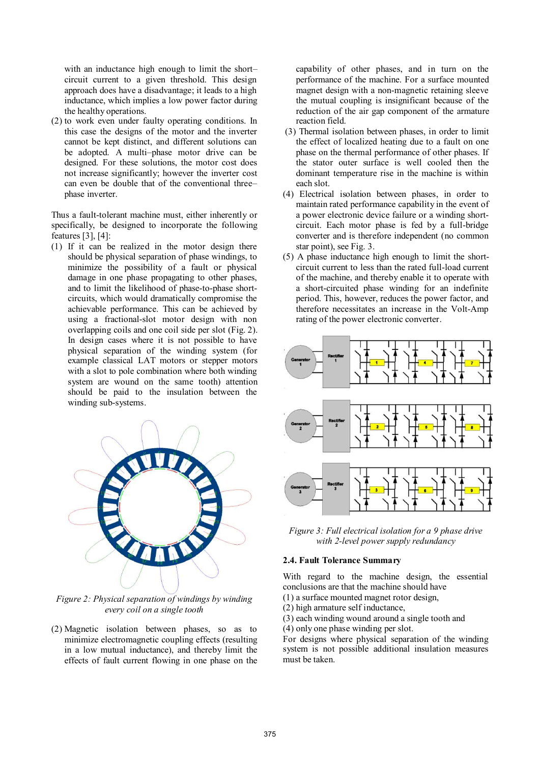with an inductance high enough to limit the short– circuit current to a given threshold. This design approach does have a disadvantage; it leads to a high inductance, which implies a low power factor during the healthy operations.

(2) to work even under faulty operating conditions. In this case the designs of the motor and the inverter cannot be kept distinct, and different solutions can be adopted. A multi–phase motor drive can be designed. For these solutions, the motor cost does not increase significantly; however the inverter cost can even be double that of the conventional three– phase inverter.

Thus a fault-tolerant machine must, either inherently or specifically, be designed to incorporate the following features [3], [4]:

(1) If it can be realized in the motor design there should be physical separation of phase windings, to minimize the possibility of a fault or physical damage in one phase propagating to other phases, and to limit the likelihood of phase-to-phase shortcircuits, which would dramatically compromise the achievable performance. This can be achieved by using a fractional-slot motor design with non overlapping coils and one coil side per slot (Fig. 2). In design cases where it is not possible to have physical separation of the winding system (for example classical LAT motors or stepper motors with a slot to pole combination where both winding system are wound on the same tooth) attention should be paid to the insulation between the winding sub-systems.



*Figure 2: Physical separation of windings by winding every coil on a single tooth*

(2) Magnetic isolation between phases, so as to minimize electromagnetic coupling effects (resulting in a low mutual inductance), and thereby limit the effects of fault current flowing in one phase on the capability of other phases, and in turn on the performance of the machine. For a surface mounted magnet design with a non-magnetic retaining sleeve the mutual coupling is insignificant because of the reduction of the air gap component of the armature reaction field.

- (3) Thermal isolation between phases, in order to limit the effect of localized heating due to a fault on one phase on the thermal performance of other phases. If the stator outer surface is well cooled then the dominant temperature rise in the machine is within each slot.
- (4) Electrical isolation between phases, in order to maintain rated performance capability in the event of a power electronic device failure or a winding shortcircuit. Each motor phase is fed by a full-bridge converter and is therefore independent (no common star point), see Fig. 3.
- (5) A phase inductance high enough to limit the shortcircuit current to less than the rated full-load current of the machine, and thereby enable it to operate with a short-circuited phase winding for an indefinite period. This, however, reduces the power factor, and therefore necessitates an increase in the Volt-Amp rating of the power electronic converter.



*Figure 3: Full electrical isolation for a 9 phase drive with 2-level power supply redundancy*

### **2.4. Fault Tolerance Summary**

With regard to the machine design, the essential conclusions are that the machine should have

- (1) a surface mounted magnet rotor design,
- (2) high armature self inductance,
- (3) each winding wound around a single tooth and
- (4) only one phase winding per slot.

For designs where physical separation of the winding system is not possible additional insulation measures must be taken.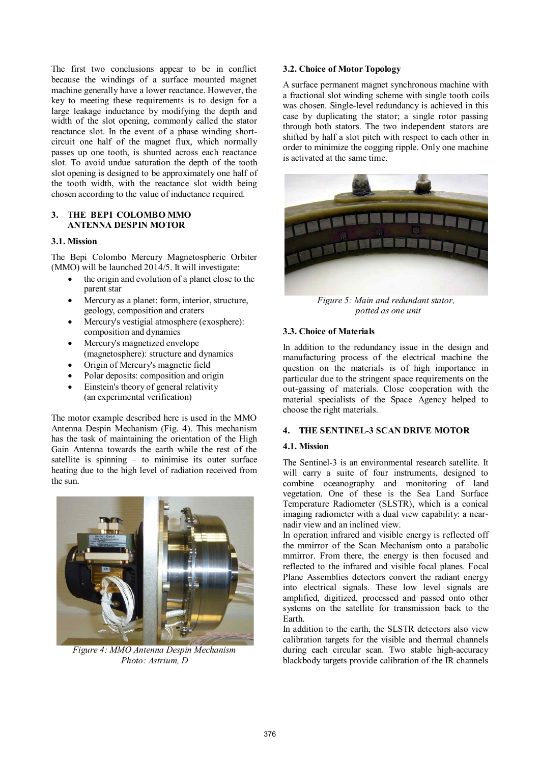The first two conclusions appear to be in conflict because the windings of a surface mounted magnet machine generally have a lower reactance. However, the key to meeting these requirements is to design for a large leakage inductance by modifying the depth and width of the slot opening, commonly called the stator reactance slot. In the event of a phase winding shortcircuit one half of the magnet flux, which normally passes up one tooth, is shunted across each reactance slot. To avoid undue saturation the depth of the tooth slot opening is designed to be approximately one half of the tooth width, with the reactance slot width being chosen according to the value of inductance required.

### **3. THE BEPI COLOMBO MMO ANTENNA DESPIN MOTOR**

#### **3.1. Mission**

The Bepi Colombo Mercury Magnetospheric Orbiter (MMO) will be launched 2014/5. It will investigate:

- the origin and evolution of a planet close to the parent star
- Mercury as a planet: form, interior, structure, geology, composition and craters
- · Mercury's vestigial atmosphere (exosphere): composition and dynamics
- Mercury's magnetized envelope (magnetosphere): structure and dynamics
- · Origin of Mercury's magnetic field
- Polar deposits: composition and origin
- Einstein's theory of general relativity (an experimental verification)

The motor example described here is used in the MMO Antenna Despin Mechanism (Fig. 4). This mechanism has the task of maintaining the orientation of the High Gain Antenna towards the earth while the rest of the satellite is spinning – to minimise its outer surface heating due to the high level of radiation received from the sun.



*Figure 4: MMO Antenna Despin Mechanism Photo: Astrium, D*

### **3.2. Choice of Motor Topology**

A surface permanent magnet synchronous machine with a fractional slot winding scheme with single tooth coils was chosen. Single-level redundancy is achieved in this case by duplicating the stator; a single rotor passing through both stators. The two independent stators are shifted by half a slot pitch with respect to each other in order to minimize the cogging ripple. Only one machine is activated at the same time.



*Figure 5: Main and redundant stator, potted as one unit*

#### **3.3. Choice of Materials**

In addition to the redundancy issue in the design and manufacturing process of the electrical machine the question on the materials is of high importance in particular due to the stringent space requirements on the out-gassing of materials. Close cooperation with the material specialists of the Space Agency helped to choose the right materials.

#### **4. THE SENTINEL-3 SCAN DRIVE MOTOR**

#### **4.1. Mission**

The Sentinel-3 is an environmental research satellite. It will carry a suite of four instruments, designed to combine oceanography and monitoring of land vegetation. One of these is the Sea Land Surface Temperature Radiometer (SLSTR), which is a conical imaging radiometer with a dual view capability: a nearnadir view and an inclined view.

In operation infrared and visible energy is reflected off the mmirror of the Scan Mechanism onto a parabolic mmirror. From there, the energy is then focused and reflected to the infrared and visible focal planes. Focal Plane Assemblies detectors convert the radiant energy into electrical signals. These low level signals are amplified, digitized, processed and passed onto other systems on the satellite for transmission back to the Earth.

In addition to the earth, the SLSTR detectors also view calibration targets for the visible and thermal channels during each circular scan. Two stable high-accuracy blackbody targets provide calibration of the IR channels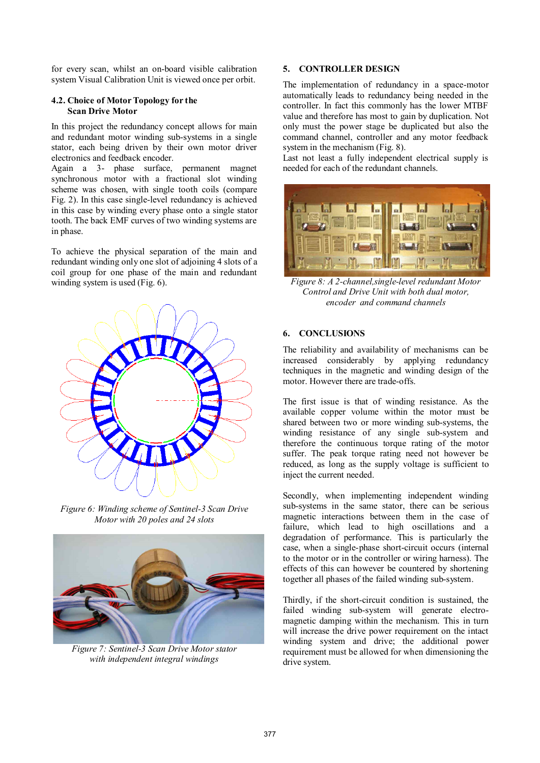for every scan, whilst an on-board visible calibration system Visual Calibration Unit is viewed once per orbit.

#### **4.2. Choice of Motor Topology for the Scan Drive Motor**

In this project the redundancy concept allows for main and redundant motor winding sub-systems in a single stator, each being driven by their own motor driver electronics and feedback encoder.

Again a 3- phase surface, permanent magnet synchronous motor with a fractional slot winding scheme was chosen, with single tooth coils (compare Fig. 2). In this case single-level redundancy is achieved in this case by winding every phase onto a single stator tooth. The back EMF curves of two winding systems are in phase.

To achieve the physical separation of the main and redundant winding only one slot of adjoining 4 slots of a coil group for one phase of the main and redundant winding system is used (Fig. 6).



*Figure 6: Winding scheme of Sentinel-3 Scan Drive Motor with 20 poles and 24 slots*



*Figure 7: Sentinel-3 Scan Drive Motor stator with independent integral windings* 

# **5. CONTROLLER DESIGN**

The implementation of redundancy in a space-motor automatically leads to redundancy being needed in the controller. In fact this commonly has the lower MTBF value and therefore has most to gain by duplication. Not only must the power stage be duplicated but also the command channel, controller and any motor feedback system in the mechanism (Fig. 8).

Last not least a fully independent electrical supply is needed for each of the redundant channels.



*Figure 8: A 2-channel,single-level redundant Motor Control and Drive Unit with both dual motor, encoder and command channels*

### **6. CONCLUSIONS**

The reliability and availability of mechanisms can be increased considerably by applying redundancy techniques in the magnetic and winding design of the motor. However there are trade-offs.

The first issue is that of winding resistance. As the available copper volume within the motor must be shared between two or more winding sub-systems, the winding resistance of any single sub-system and therefore the continuous torque rating of the motor suffer. The peak torque rating need not however be reduced, as long as the supply voltage is sufficient to inject the current needed.

Secondly, when implementing independent winding sub-systems in the same stator, there can be serious magnetic interactions between them in the case of failure, which lead to high oscillations and a degradation of performance. This is particularly the case, when a single-phase short-circuit occurs (internal to the motor or in the controller or wiring harness). The effects of this can however be countered by shortening together all phases of the failed winding sub-system.

Thirdly, if the short-circuit condition is sustained, the failed winding sub-system will generate electromagnetic damping within the mechanism. This in turn will increase the drive power requirement on the intact winding system and drive; the additional power requirement must be allowed for when dimensioning the drive system.